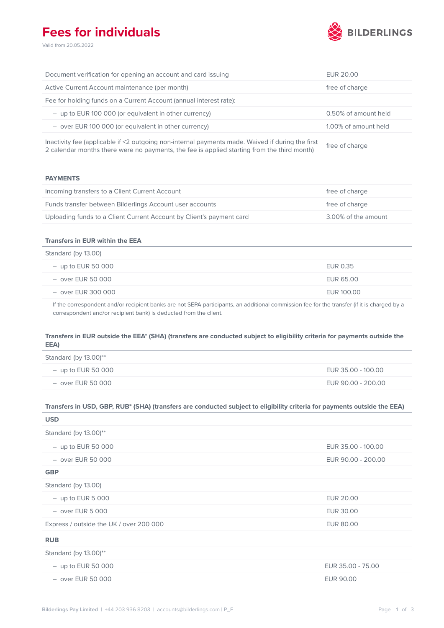## **Fees for individuals**

Valid from 20.05.2022



| Document verification for opening an account and card issuing      | EUR 20.00            |
|--------------------------------------------------------------------|----------------------|
| Active Current Account maintenance (per month)                     | free of charge       |
| Fee for holding funds on a Current Account (annual interest rate): |                      |
| - up to EUR 100 000 (or equivalent in other currency)              | 0.50% of amount held |
| - over EUR 100 000 (or equivalent in other currency)               | 1.00% of amount held |
|                                                                    |                      |

Inactivity fee (applicable if <2 outgoing non-internal payments made. Waived if during the first Inactivity ree (applicable if  $\leq$  outgoing non-internal payments made. Walved if during the mst<br>2 calendar months there were no payments, the fee is applied starting from the third month)

### **PAYMENTS**

| Incoming transfers to a Client Current Account                       | free of charge      |
|----------------------------------------------------------------------|---------------------|
| Funds transfer between Bilderlings Account user accounts             | free of charge      |
| Uploading funds to a Client Current Account by Client's payment card | 3.00% of the amount |

### **Transfers in EUR within the EEA**

| Standard (by 13.00)  |            |
|----------------------|------------|
| $-$ up to EUR 50 000 | EUR 0.35   |
| $-$ over EUR 50 000  | EUR 65.00  |
| $-$ over EUR 300 000 | EUR 100.00 |
|                      |            |

If the correspondent and/or recipient banks are not SEPA participants, an additional commission fee for the transfer (if it is charged by a correspondent and/or recipient bank) is deducted from the client.

### **Transfers in EUR outside the EEA\* (SHA) (transfers are conducted subject to eligibility criteria for payments outside the EEA)**

| Standard (by $13.00$ )** |                    |
|--------------------------|--------------------|
| $-$ up to EUR 50 000     | EUR 35.00 - 100.00 |
| $-$ over EUR 50 000      | EUR 90.00 - 200.00 |

### **Transfers in USD, GBP, RUB\* (SHA) (transfers are conducted subject to eligibility criteria for payments outside the EEA)**

| <b>USD</b>                              |                    |
|-----------------------------------------|--------------------|
| Standard (by 13.00)**                   |                    |
| $-$ up to EUR 50 000                    | EUR 35.00 - 100.00 |
| $-$ over EUR 50 000                     | EUR 90.00 - 200.00 |
| <b>GBP</b>                              |                    |
| Standard (by 13.00)                     |                    |
| $-$ up to EUR 5 000                     | <b>EUR 20.00</b>   |
| $-$ over EUR 5 000                      | EUR 30.00          |
| Express / outside the UK / over 200 000 | <b>EUR 80.00</b>   |
| <b>RUB</b>                              |                    |
| Standard (by 13.00)**                   |                    |
| $-$ up to EUR 50 000                    | EUR 35.00 - 75.00  |
| $-$ over EUR 50 000                     | <b>EUR 90.00</b>   |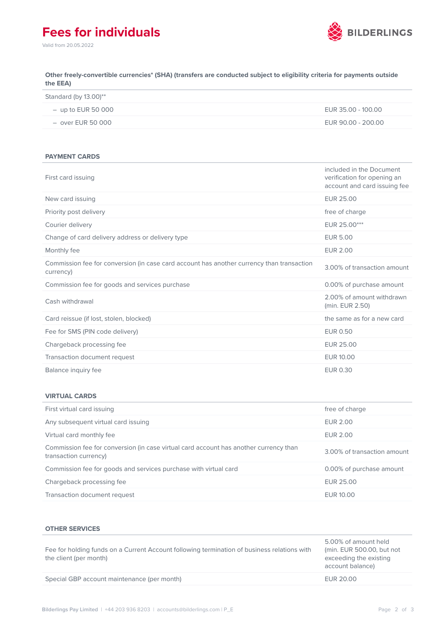# **Fees for individuals**



Valid from 20.05.2022

**Other freely-convertible currencies\* (SHA) (transfers are conducted subject to eligibility criteria for payments outside the EEA)**

| Standard (by $13.00$ )** |                    |
|--------------------------|--------------------|
| $-$ up to EUR 50 000     | EUR 35.00 - 100.00 |
| $-$ over EUR 50 000      | EUR 90.00 - 200.00 |

#### **PAYMENT CARDS**

| First card issuing                                                                                     | included in the Document<br>verification for opening an<br>account and card issuing fee |
|--------------------------------------------------------------------------------------------------------|-----------------------------------------------------------------------------------------|
| New card issuing                                                                                       | EUR 25.00                                                                               |
| Priority post delivery                                                                                 | free of charge                                                                          |
| Courier delivery                                                                                       | EUR 25.00***                                                                            |
| Change of card delivery address or delivery type                                                       | <b>EUR 5.00</b>                                                                         |
| Monthly fee                                                                                            | <b>EUR 2.00</b>                                                                         |
| Commission fee for conversion (in case card account has another currency than transaction<br>currency) | 3.00% of transaction amount                                                             |
| Commission fee for goods and services purchase                                                         | 0.00% of purchase amount                                                                |
| Cash withdrawal                                                                                        | 2.00% of amount withdrawn<br>(min. EUR 2.50)                                            |
| Card reissue (if lost, stolen, blocked)                                                                | the same as for a new card                                                              |
| Fee for SMS (PIN code delivery)                                                                        | <b>EUR 0.50</b>                                                                         |
| Chargeback processing fee                                                                              | <b>EUR 25.00</b>                                                                        |
| Transaction document request                                                                           | EUR 10.00                                                                               |
| Balance inquiry fee                                                                                    | <b>EUR 0.30</b>                                                                         |

### **VIRTUAL CARDS**

| First virtual card issuing                                                                                     | free of charge              |
|----------------------------------------------------------------------------------------------------------------|-----------------------------|
| Any subsequent virtual card issuing                                                                            | <b>EUR 2.00</b>             |
| Virtual card monthly fee                                                                                       | <b>EUR 2.00</b>             |
| Commission fee for conversion (in case virtual card account has another currency than<br>transaction currency) | 3.00% of transaction amount |
| Commission fee for goods and services purchase with virtual card                                               | 0.00% of purchase amount    |
| Chargeback processing fee                                                                                      | EUR 25.00                   |
| Transaction document request                                                                                   | EUR 10.00                   |

### **OTHER SERVICES**

| Fee for holding funds on a Current Account following termination of business relations with<br>the client (per month) | 5.00% of amount held<br>(min. EUR 500.00, but not<br>exceeding the existing<br>account balance) |
|-----------------------------------------------------------------------------------------------------------------------|-------------------------------------------------------------------------------------------------|
| Special GBP account maintenance (per month)                                                                           | EUR 20.00                                                                                       |